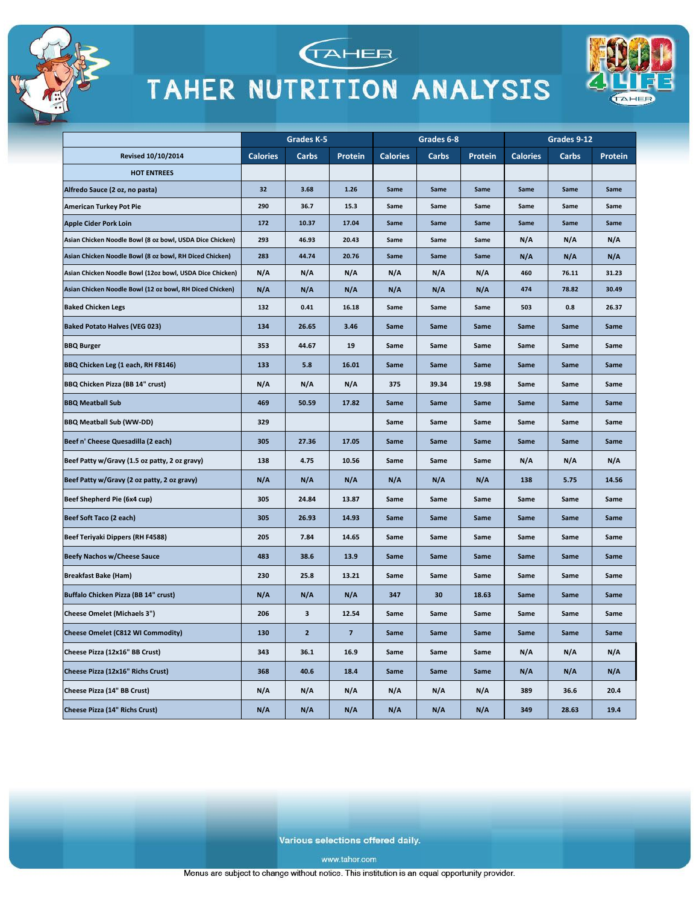

Alfredo Sauce (2 oz, no pasta) **American Turkey Pot Pie** 

**Apple Cider Pork Loin** 

**Baked Chicken Legs** 

**BBQ Meatball Sub** 

**BBQ Meatball Sub (WW-DD)** 

Beef Shepherd Pie (6x4 cup)

**Beefy Nachos w/Cheese Sauce** 

**Cheese Omelet (Michaels 3")** 

Cheese Pizza (12x16" BB Crust)

Cheese Pizza (14" BB Crust)

Cheese Pizza (14" Richs Crust)

Cheese Pizza (12x16" Richs Crust)

Beef Soft Taco (2 each)

**Breakfast Bake (Ham)** 

**BBQ Burger** 

**Baked Potato Halves (VEG 023)** 



### TAHER NUTRITION ANALYSIS



Various selections offered daily.

16.9

18.4

 $N/A$ 

 $N/A$ 

Same

Same

 $N/A$ 

 $N/A$ 

Same

Same

 $N/A$ 

 $N/A$ 

Same

Same

 $N/A$ 

 $N/A$ 

 $N/A$ 

 $N/A$ 

389

349

 $N/A$ 

 $N/A$ 

36.6

28.63

 $N/A$ 

 $N/A$ 

20.4

19.4

343

368

 $N/A$ 

 $N/A$ 

36.1

40.6

 $N/A$ 

 $N/A$ 

www.taher.com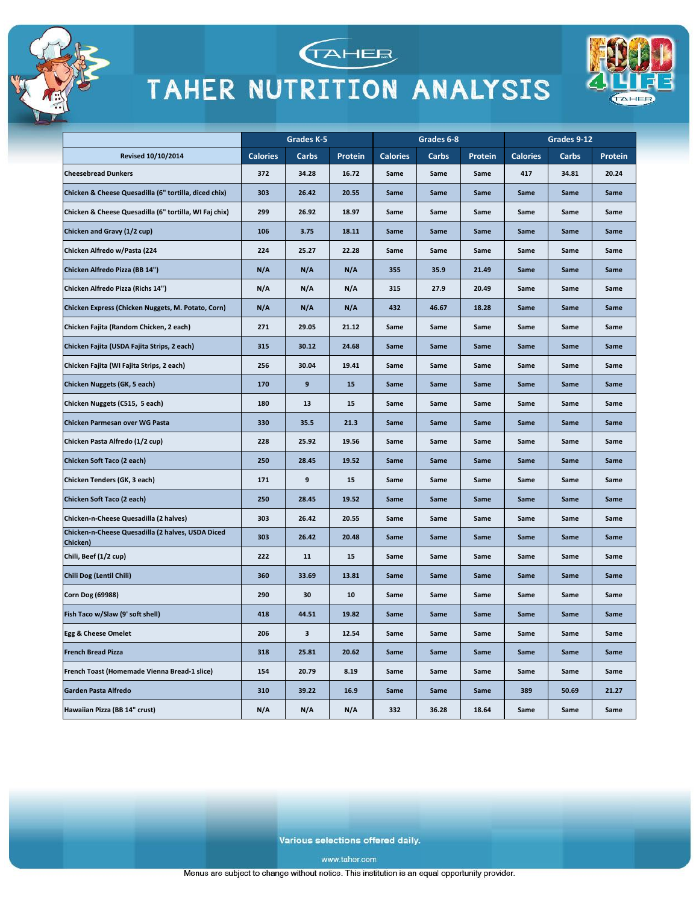



**TAHEE** 



Various selections offered daily.

www.taher.com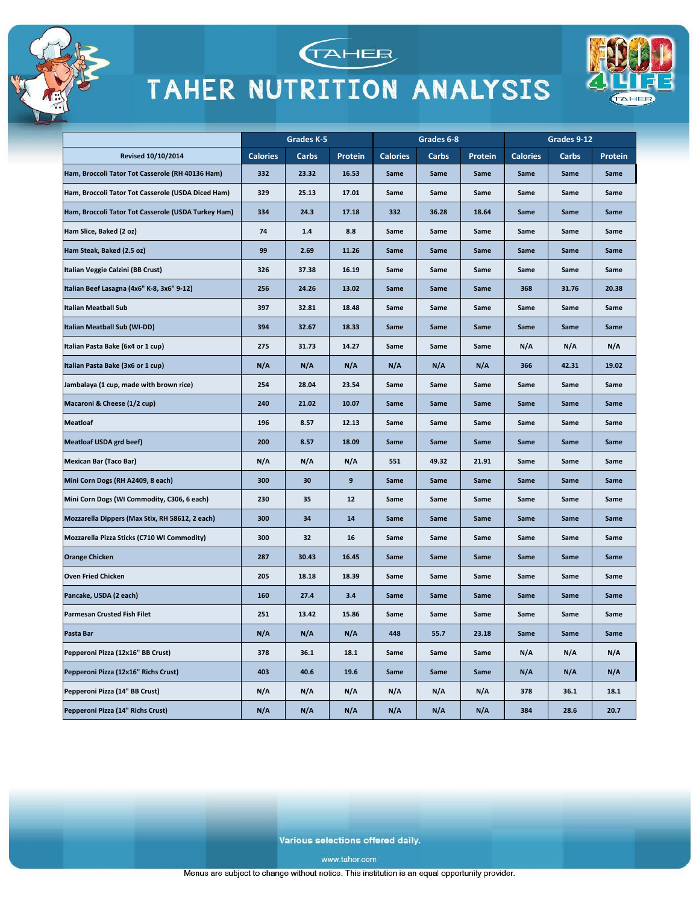



**TAHEE** 



Various selections offered daily.

www.taher.com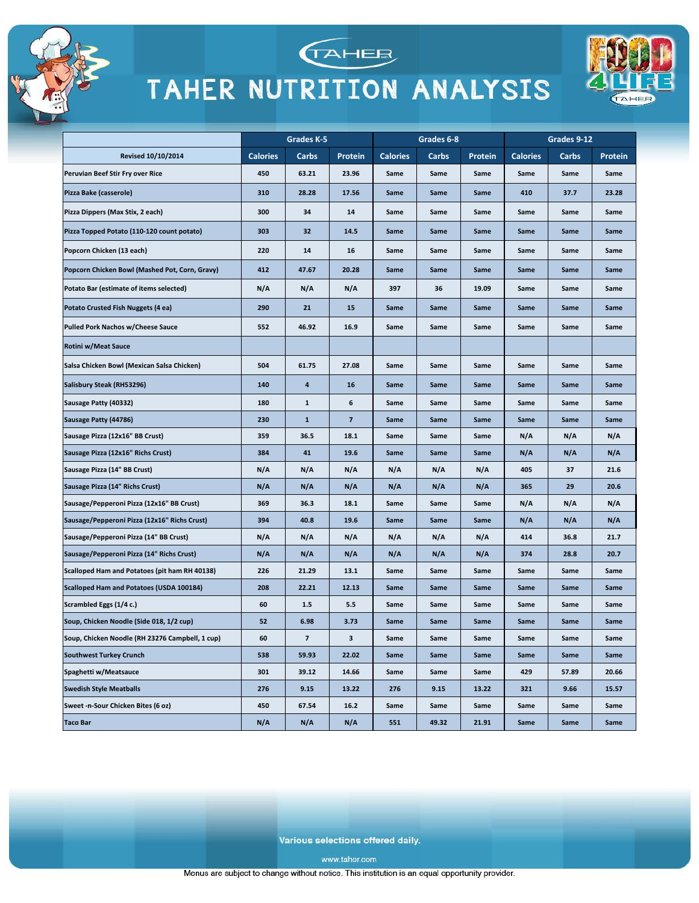





|                                                 | Grades K-5      |                          | Grades 6-8               |                 |       | Grades 9-12 |                 |       |         |
|-------------------------------------------------|-----------------|--------------------------|--------------------------|-----------------|-------|-------------|-----------------|-------|---------|
| <b>Revised 10/10/2014</b>                       | <b>Calories</b> | Carbs                    | <b>Protein</b>           | <b>Calories</b> | Carbs | Protein     | <b>Calories</b> | Carbs | Protein |
| Peruvian Beef Stir Fry over Rice                | 450             | 63.21                    | 23.96                    | Same            | Same  | Same        | Same            | Same  | Same    |
| Pizza Bake (casserole)                          | 310             | 28.28                    | 17.56                    | Same            | Same  | Same        | 410             | 37.7  | 23.28   |
| Pizza Dippers (Max Stix, 2 each)                | 300             | 34                       | 14                       | Same            | Same  | Same        | Same            | Same  | Same    |
| Pizza Topped Potato (110-120 count potato)      | 303             | 32                       | 14.5                     | Same            | Same  | Same        | Same            | Same  | Same    |
| Popcorn Chicken (13 each)                       | 220             | 14                       | 16                       | Same            | Same  | Same        | Same            | Same  | Same    |
| Popcorn Chicken Bowl (Mashed Pot, Corn, Gravy)  | 412             | 47.67                    | 20.28                    | Same            | Same  | Same        | Same            | Same  | Same    |
| Potato Bar (estimate of items selected)         | N/A             | N/A                      | N/A                      | 397             | 36    | 19.09       | Same            | Same  | Same    |
| Potato Crusted Fish Nuggets (4 ea)              | 290             | 21                       | 15                       | Same            | Same  | Same        | Same            | Same  | Same    |
| <b>Pulled Pork Nachos w/Cheese Sauce</b>        | 552             | 46.92                    | 16.9                     | Same            | Same  | Same        | Same            | Same  | Same    |
| <b>Rotini w/Meat Sauce</b>                      |                 |                          |                          |                 |       |             |                 |       |         |
| Salsa Chicken Bowl (Mexican Salsa Chicken)      | 504             | 61.75                    | 27.08                    | Same            | Same  | Same        | Same            | Same  | Same    |
| Salisbury Steak (RH53296)                       | 140             | 4                        | 16                       | Same            | Same  | Same        | Same            | Same  | Same    |
| Sausage Patty (40332)                           | 180             | $\mathbf{1}$             | 6                        | Same            | Same  | Same        | Same            | Same  | Same    |
| Sausage Patty (44786)                           | 230             | $\mathbf{1}$             | $\overline{\phantom{a}}$ | Same            | Same  | Same        | Same            | Same  | Same    |
| Sausage Pizza (12x16" BB Crust)                 | 359             | 36.5                     | 18.1                     | Same            | Same  | Same        | N/A             | N/A   | N/A     |
| Sausage Pizza (12x16" Richs Crust)              | 384             | 41                       | 19.6                     | Same            | Same  | Same        | N/A             | N/A   | N/A     |
| Sausage Pizza (14" BB Crust)                    | N/A             | N/A                      | N/A                      | N/A             | N/A   | N/A         | 405             | 37    | 21.6    |
| Sausage Pizza (14" Richs Crust)                 | N/A             | N/A                      | N/A                      | N/A             | N/A   | N/A         | 365             | 29    | 20.6    |
| Sausage/Pepperoni Pizza (12x16" BB Crust)       | 369             | 36.3                     | 18.1                     | Same            | Same  | Same        | N/A             | N/A   | N/A     |
| Sausage/Pepperoni Pizza (12x16" Richs Crust)    | 394             | 40.8                     | 19.6                     | Same            | Same  | Same        | N/A             | N/A   | N/A     |
| Sausage/Pepperoni Pizza (14" BB Crust)          | N/A             | N/A                      | N/A                      | N/A             | N/A   | N/A         | 414             | 36.8  | 21.7    |
| Sausage/Pepperoni Pizza (14" Richs Crust)       | N/A             | N/A                      | N/A                      | N/A             | N/A   | N/A         | 374             | 28.8  | 20.7    |
| Scalloped Ham and Potatoes (pit ham RH 40138)   | 226             | 21.29                    | 13.1                     | Same            | Same  | Same        | Same            | Same  | Same    |
| <b>Scalloped Ham and Potatoes (USDA 100184)</b> | 208             | 22.21                    | 12.13                    | Same            | Same  | Same        | Same            | Same  | Same    |
| Scrambled Eggs (1/4 c.)                         | 60              | 1.5                      | 5.5                      | Same            | Same  | Same        | Same            | Same  | Same    |
| Soup, Chicken Noodle (Side 018, 1/2 cup)        | 52              | 6.98                     | 3.73                     | Same            | Same  | Same        | Same            | Same  | Same    |
| Soup, Chicken Noodle (RH 23276 Campbell, 1 cup) | 60              | $\overline{\phantom{a}}$ | 3                        | Same            | Same  | Same        | Same            | Same  | Same    |
| <b>Southwest Turkey Crunch</b>                  | 538             | 59.93                    | 22.02                    | Same            | Same  | Same        | Same            | Same  | Same    |
| Spaghetti w/Meatsauce                           | 301             | 39.12                    | 14.66                    | Same            | Same  | Same        | 429             | 57.89 | 20.66   |
| <b>Swedish Style Meatballs</b>                  | 276             | 9.15                     | 13.22                    | 276             | 9.15  | 13.22       | 321             | 9.66  | 15.57   |
| Sweet -n-Sour Chicken Bites (6 oz)              | 450             | 67.54                    | 16.2                     | Same            | Same  | Same        | Same            | Same  | Same    |
| <b>Taco Bar</b>                                 | N/A             | N/A                      | N/A                      | 551             | 49.32 | 21.91       | Same            | Same  | Same    |

Various selections offered daily.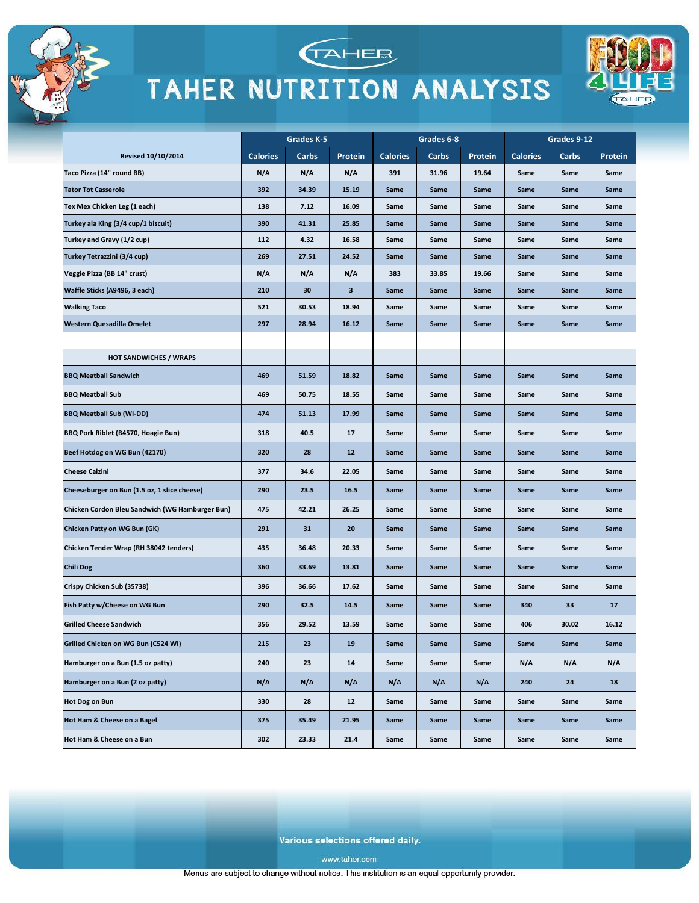





|                                                 | Grades K-5      |       | Grades 6-8 |                 |       | Grades 9-12 |                 |       |         |
|-------------------------------------------------|-----------------|-------|------------|-----------------|-------|-------------|-----------------|-------|---------|
| <b>Revised 10/10/2014</b>                       | <b>Calories</b> | Carbs | Protein    | <b>Calories</b> | Carbs | Protein     | <b>Calories</b> | Carbs | Protein |
| Taco Pizza (14" round BB)                       | N/A             | N/A   | N/A        | 391             | 31.96 | 19.64       | Same            | Same  | Same    |
| <b>Tator Tot Casserole</b>                      | 392             | 34.39 | 15.19      | Same            | Same  | Same        | Same            | Same  | Same    |
| Tex Mex Chicken Leg (1 each)                    | 138             | 7.12  | 16.09      | Same            | Same  | Same        | Same            | Same  | Same    |
| Turkey ala King (3/4 cup/1 biscuit)             | 390             | 41.31 | 25.85      | Same            | Same  | Same        | Same            | Same  | Same    |
| Turkey and Gravy (1/2 cup)                      | 112             | 4.32  | 16.58      | Same            | Same  | Same        | Same            | Same  | Same    |
| Turkey Tetrazzini (3/4 cup)                     | 269             | 27.51 | 24.52      | Same            | Same  | Same        | Same            | Same  | Same    |
| Veggie Pizza (BB 14" crust)                     | N/A             | N/A   | N/A        | 383             | 33.85 | 19.66       | Same            | Same  | Same    |
| Waffle Sticks (A9496, 3 each)                   | 210             | 30    | 3          | Same            | Same  | Same        | Same            | Same  | Same    |
| <b>Walking Taco</b>                             | 521             | 30.53 | 18.94      | Same            | Same  | Same        | Same            | Same  | Same    |
| Western Quesadilla Omelet                       | 297             | 28.94 | 16.12      | Same            | Same  | Same        | Same            | Same  | Same    |
|                                                 |                 |       |            |                 |       |             |                 |       |         |
| <b>HOT SANDWICHES / WRAPS</b>                   |                 |       |            |                 |       |             |                 |       |         |
| <b>BBQ Meatball Sandwich</b>                    | 469             | 51.59 | 18.82      | Same            | Same  | Same        | Same            | Same  | Same    |
| <b>BBQ Meatball Sub</b>                         | 469             | 50.75 | 18.55      | Same            | Same  | Same        | Same            | Same  | Same    |
| <b>BBQ Meatball Sub (WI-DD)</b>                 | 474             | 51.13 | 17.99      | Same            | Same  | Same        | Same            | Same  | Same    |
| BBQ Pork Riblet (B4570, Hoagie Bun)             | 318             | 40.5  | 17         | Same            | Same  | Same        | Same            | Same  | Same    |
| Beef Hotdog on WG Bun (42170)                   | 320             | 28    | 12         | Same            | Same  | Same        | Same            | Same  | Same    |
| <b>Cheese Calzini</b>                           | 377             | 34.6  | 22.05      | Same            | Same  | Same        | Same            | Same  | Same    |
| Cheeseburger on Bun (1.5 oz, 1 slice cheese)    | 290             | 23.5  | 16.5       | Same            | Same  | Same        | Same            | Same  | Same    |
| Chicken Cordon Bleu Sandwich (WG Hamburger Bun) | 475             | 42.21 | 26.25      | Same            | Same  | Same        | Same            | Same  | Same    |
| Chicken Patty on WG Bun (GK)                    | 291             | 31    | 20         | Same            | Same  | Same        | Same            | Same  | Same    |
| Chicken Tender Wrap (RH 38042 tenders)          | 435             | 36.48 | 20.33      | Same            | Same  | Same        | Same            | Same  | Same    |
| <b>Chili Dog</b>                                | 360             | 33.69 | 13.81      | Same            | Same  | Same        | Same            | Same  | Same    |
| Crispy Chicken Sub (35738)                      | 396             | 36.66 | 17.62      | Same            | Same  | Same        | Same            | Same  | Same    |
| Fish Patty w/Cheese on WG Bun                   | 290             | 32.5  | 14.5       | Same            | Same  | Same        | 340             | 33    | 17      |
| <b>Grilled Cheese Sandwich</b>                  | 356             | 29.52 | 13.59      | Same            | Same  | Same        | 406             | 30.02 | 16.12   |
| Grilled Chicken on WG Bun (C524 WI)             | 215             | 23    | 19         | Same            | Same  | Same        | Same            | Same  | Same    |
| Hamburger on a Bun (1.5 oz patty)               | 240             | 23    | 14         | Same            | Same  | Same        | N/A             | N/A   | N/A     |
| Hamburger on a Bun (2 oz patty)                 | N/A             | N/A   | N/A        | N/A             | N/A   | N/A         | 240             | 24    | 18      |
| <b>Hot Dog on Bun</b>                           | 330             | 28    | 12         | Same            | Same  | Same        | Same            | Same  | Same    |
| Hot Ham & Cheese on a Bagel                     | 375             | 35.49 | 21.95      | Same            | Same  | Same        | Same            | Same  | Same    |
| Hot Ham & Cheese on a Bun                       | 302             | 23.33 | 21.4       | Same            | Same  | Same        | Same            | Same  | Same    |

Various selections offered daily.

www.taher.com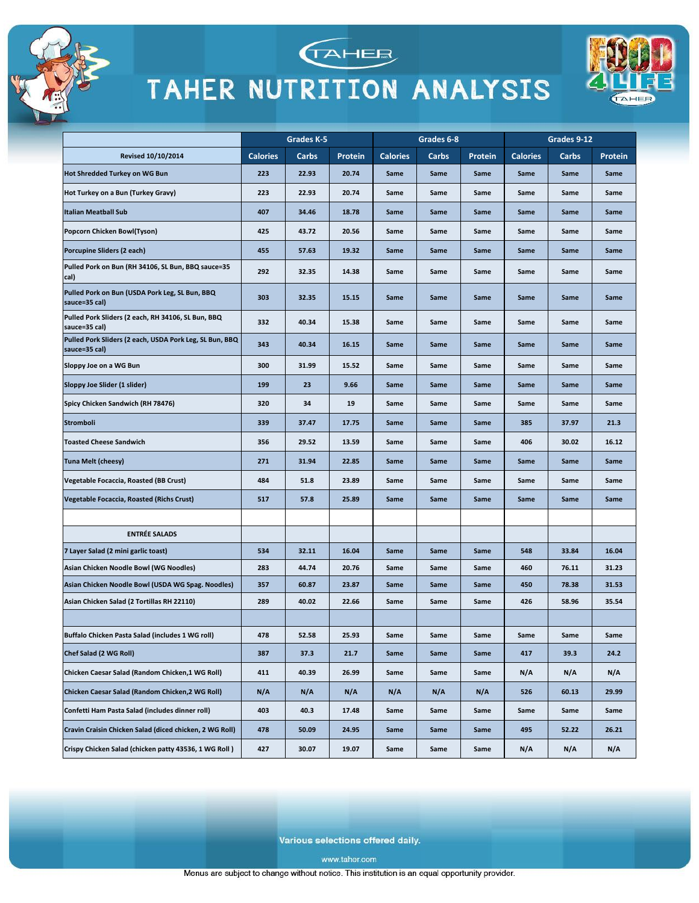





|                                                                          | Grades K-5      |       | Grades 6-8 |                 |       | Grades 9-12 |                 |       |                |
|--------------------------------------------------------------------------|-----------------|-------|------------|-----------------|-------|-------------|-----------------|-------|----------------|
| <b>Revised 10/10/2014</b>                                                | <b>Calories</b> | Carbs | Protein    | <b>Calories</b> | Carbs | Protein     | <b>Calories</b> | Carbs | <b>Protein</b> |
| Hot Shredded Turkey on WG Bun                                            | 223             | 22.93 | 20.74      | Same            | Same  | Same        | Same            | Same  | Same           |
| Hot Turkey on a Bun (Turkey Gravy)                                       | 223             | 22.93 | 20.74      | Same            | Same  | Same        | Same            | Same  | Same           |
| <b>Italian Meatball Sub</b>                                              | 407             | 34.46 | 18.78      | Same            | Same  | Same        | Same            | Same  | Same           |
| Popcorn Chicken Bowl(Tyson)                                              | 425             | 43.72 | 20.56      | Same            | Same  | Same        | Same            | Same  | Same           |
| Porcupine Sliders (2 each)                                               | 455             | 57.63 | 19.32      | Same            | Same  | Same        | Same            | Same  | Same           |
| Pulled Pork on Bun (RH 34106, SL Bun, BBQ sauce=35<br>cal)               | 292             | 32.35 | 14.38      | Same            | Same  | Same        | Same            | Same  | Same           |
| Pulled Pork on Bun (USDA Pork Leg, SL Bun, BBQ<br>sauce=35 cal)          | 303             | 32.35 | 15.15      | Same            | Same  | Same        | Same            | Same  | Same           |
| Pulled Pork Sliders (2 each, RH 34106, SL Bun, BBQ<br>sauce=35 cal)      | 332             | 40.34 | 15.38      | Same            | Same  | Same        | Same            | Same  | Same           |
| Pulled Pork Sliders (2 each, USDA Pork Leg, SL Bun, BBQ<br>sauce=35 cal) | 343             | 40.34 | 16.15      | Same            | Same  | Same        | Same            | Same  | Same           |
| Sloppy Joe on a WG Bun                                                   | 300             | 31.99 | 15.52      | Same            | Same  | Same        | Same            | Same  | Same           |
| Sloppy Joe Slider (1 slider)                                             | 199             | 23    | 9.66       | Same            | Same  | Same        | Same            | Same  | Same           |
| Spicy Chicken Sandwich (RH 78476)                                        | 320             | 34    | 19         | Same            | Same  | Same        | Same            | Same  | Same           |
| Stromboli                                                                | 339             | 37.47 | 17.75      | Same            | Same  | Same        | 385             | 37.97 | 21.3           |
| <b>Toasted Cheese Sandwich</b>                                           | 356             | 29.52 | 13.59      | Same            | Same  | Same        | 406             | 30.02 | 16.12          |
| <b>Tuna Melt (cheesy)</b>                                                | 271             | 31.94 | 22.85      | Same            | Same  | Same        | Same            | Same  | Same           |
| Vegetable Focaccia, Roasted (BB Crust)                                   | 484             | 51.8  | 23.89      | Same            | Same  | Same        | Same            | Same  | Same           |
| Vegetable Focaccia, Roasted (Richs Crust)                                | 517             | 57.8  | 25.89      | Same            | Same  | Same        | Same            | Same  | Same           |
|                                                                          |                 |       |            |                 |       |             |                 |       |                |
| <b>ENTRÉE SALADS</b>                                                     |                 |       |            |                 |       |             |                 |       |                |
| 7 Layer Salad (2 mini garlic toast)                                      | 534             | 32.11 | 16.04      | Same            | Same  | Same        | 548             | 33.84 | 16.04          |
| Asian Chicken Noodle Bowl (WG Noodles)                                   | 283             | 44.74 | 20.76      | Same            | Same  | Same        | 460             | 76.11 | 31.23          |
| Asian Chicken Noodle Bowl (USDA WG Spag. Noodles)                        | 357             | 60.87 | 23.87      | Same            | Same  | Same        | 450             | 78.38 | 31.53          |
| Asian Chicken Salad (2 Tortillas RH 22110)                               | 289             | 40.02 | 22.66      | Same            | Same  | Same        | 426             | 58.96 | 35.54          |
|                                                                          |                 |       |            |                 |       |             |                 |       |                |
| Buffalo Chicken Pasta Salad (includes 1 WG roll)                         | 478             | 52.58 | 25.93      | Same            | Same  | Same        | Same            | Same  | Same           |
| Chef Salad (2 WG Roll)                                                   | 387             | 37.3  | 21.7       | Same            | Same  | Same        | 417             | 39.3  | 24.2           |
| Chicken Caesar Salad (Random Chicken,1 WG Roll)                          | 411             | 40.39 | 26.99      | Same            | Same  | Same        | N/A             | N/A   | N/A            |
| Chicken Caesar Salad (Random Chicken, 2 WG Roll)                         | N/A             | N/A   | N/A        | N/A             | N/A   | N/A         | 526             | 60.13 | 29.99          |
| Confetti Ham Pasta Salad (includes dinner roll)                          | 403             | 40.3  | 17.48      | Same            | Same  | Same        | Same            | Same  | Same           |
| Cravin Craisin Chicken Salad (diced chicken, 2 WG Roll)                  | 478             | 50.09 | 24.95      | Same            | Same  | Same        | 495             | 52.22 | 26.21          |
| Crispy Chicken Salad (chicken patty 43536, 1 WG Roll)                    | 427             | 30.07 | 19.07      | Same            | Same  | Same        | N/A             | N/A   | N/A            |

Various selections offered daily.

www.taher.com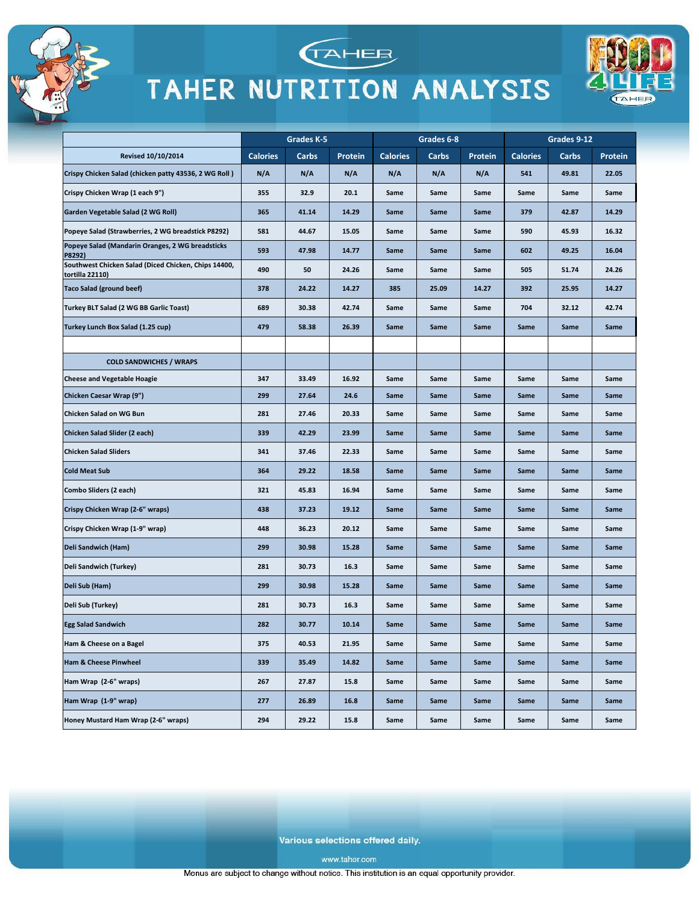



**TAHEE** 



Various selections offered daily.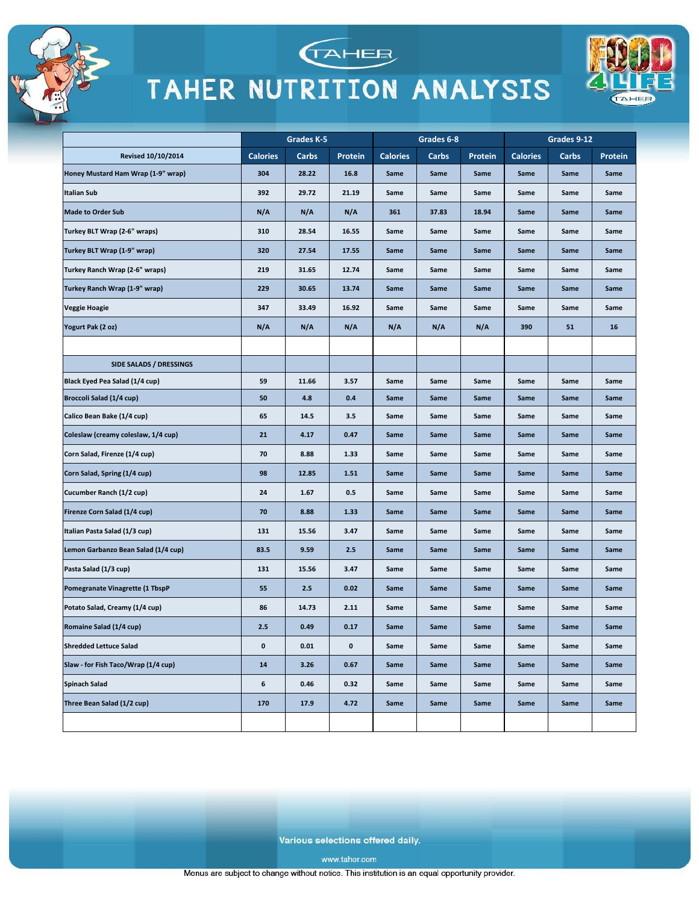





|                                     | Grades K-5      |       | Grades 6-8     |                 |       | Grades 9-12 |                 |       |         |
|-------------------------------------|-----------------|-------|----------------|-----------------|-------|-------------|-----------------|-------|---------|
| Revised 10/10/2014                  | <b>Calories</b> | Carbs | <b>Protein</b> | <b>Calories</b> | Carbs | Protein     | <b>Calories</b> | Carbs | Protein |
| Honey Mustard Ham Wrap (1-9" wrap)  | 304             | 28.22 | 16.8           | Same            | Same  | Same        | Same            | Same  | Same    |
| <b>Italian Sub</b>                  | 392             | 29.72 | 21.19          | Same            | Same  | Same        | Same            | Same  | Same    |
| <b>Made to Order Sub</b>            | N/A             | N/A   | N/A            | 361             | 37.83 | 18.94       | Same            | Same  | Same    |
| Turkey BLT Wrap (2-6" wraps)        | 310             | 28.54 | 16.55          | Same            | Same  | Same        | Same            | Same  | Same    |
| Turkey BLT Wrap (1-9" wrap)         | 320             | 27.54 | 17.55          | Same            | Same  | Same        | Same            | Same  | Same    |
| Turkey Ranch Wrap (2-6" wraps)      | 219             | 31.65 | 12.74          | Same            | Same  | Same        | Same            | Same  | Same    |
| Turkey Ranch Wrap (1-9" wrap)       | 229             | 30.65 | 13.74          | Same            | Same  | Same        | Same            | Same  | Same    |
| Veggie Hoagie                       | 347             | 33.49 | 16.92          | Same            | Same  | Same        | Same            | Same  | Same    |
| Yogurt Pak (2 oz)                   | N/A             | N/A   | N/A            | N/A             | N/A   | N/A         | 390             | 51    | 16      |
|                                     |                 |       |                |                 |       |             |                 |       |         |
| SIDE SALADS / DRESSINGS             |                 |       |                |                 |       |             |                 |       |         |
| Black Eyed Pea Salad (1/4 cup)      | 59              | 11.66 | 3.57           | Same            | Same  | Same        | Same            | Same  | Same    |
| Broccoli Salad (1/4 cup)            | 50              | 4.8   | 0.4            | Same            | Same  | Same        | Same            | Same  | Same    |
| Calico Bean Bake (1/4 cup)          | 65              | 14.5  | 3.5            | Same            | Same  | Same        | Same            | Same  | Same    |
| Coleslaw (creamy coleslaw, 1/4 cup) | 21              | 4.17  | 0.47           | Same            | Same  | Same        | Same            | Same  | Same    |
| Corn Salad, Firenze (1/4 cup)       | 70              | 8.88  | 1.33           | Same            | Same  | Same        | Same            | Same  | Same    |
| Corn Salad, Spring (1/4 cup)        | 98              | 12.85 | 1.51           | Same            | Same  | Same        | Same            | Same  | Same    |
| Cucumber Ranch (1/2 cup)            | 24              | 1.67  | 0.5            | Same            | Same  | Same        | Same            | Same  | Same    |
| Firenze Corn Salad (1/4 cup)        | 70              | 8.88  | 1.33           | Same            | Same  | Same        | Same            | Same  | Same    |
| Italian Pasta Salad (1/3 cup)       | 131             | 15.56 | 3.47           | Same            | Same  | Same        | Same            | Same  | Same    |
| Lemon Garbanzo Bean Salad (1/4 cup) | 83.5            | 9.59  | 2.5            | Same            | Same  | Same        | Same            | Same  | Same    |
| Pasta Salad (1/3 cup)               | 131             | 15.56 | 3.47           | Same            | Same  | Same        | Same            | Same  | Same    |
| Pomegranate Vinagrette (1 TbspP     | 55              | 2.5   | 0.02           | Same            | Same  | Same        | Same            | Same  | Same    |
| Potato Salad, Creamy (1/4 cup)      | 86              | 14.73 | 2.11           | Same            | Same  | Same        | Same            | Same  | Same    |
| Romaine Salad (1/4 cup)             | 2.5             | 0.49  | 0.17           | Same            | Same  | Same        | Same            | Same  | Same    |
| <b>Shredded Lettuce Salad</b>       | 0               | 0.01  | 0              | Same            | Same  | Same        | Same            | Same  | Same    |
| Slaw - for Fish Taco/Wrap (1/4 cup) | 14              | 3.26  | 0.67           | Same            | Same  | Same        | Same            | Same  | Same    |
| <b>Spinach Salad</b>                | 6               | 0.46  | 0.32           | Same            | Same  | Same        | Same            | Same  | Same    |
| Three Bean Salad (1/2 cup)          | 170             | 17.9  | 4.72           | Same            | Same  | Same        | Same            | Same  | Same    |
|                                     |                 |       |                |                 |       |             |                 |       |         |

Various selections offered daily.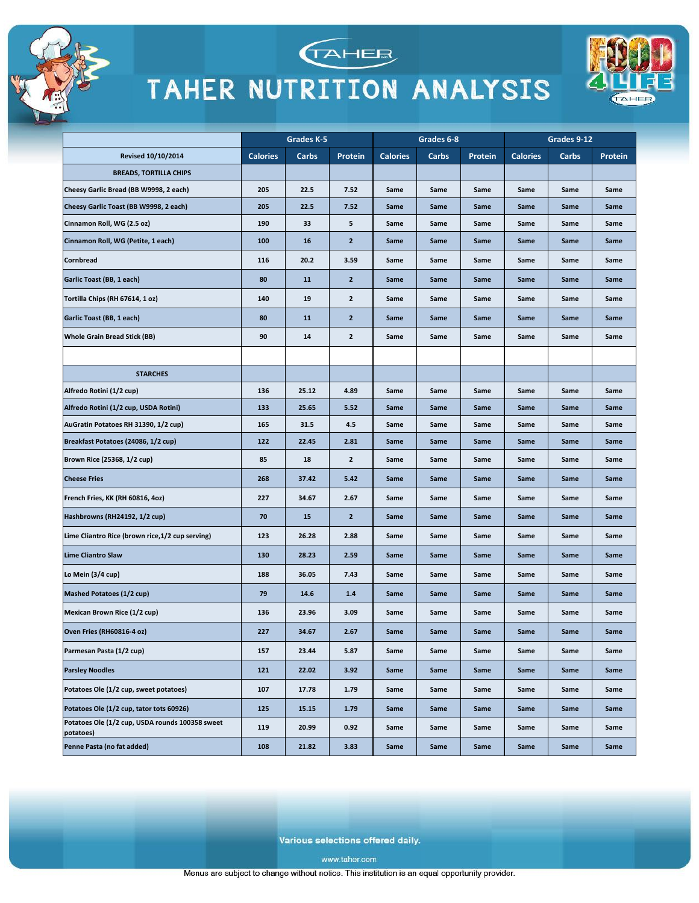





|                                                              | Grades K-5      |       | Grades 6-8     |                 |       | Grades 9-12 |                 |       |         |
|--------------------------------------------------------------|-----------------|-------|----------------|-----------------|-------|-------------|-----------------|-------|---------|
| Revised 10/10/2014                                           | <b>Calories</b> | Carbs | Protein        | <b>Calories</b> | Carbs | Protein     | <b>Calories</b> | Carbs | Protein |
| <b>BREADS, TORTILLA CHIPS</b>                                |                 |       |                |                 |       |             |                 |       |         |
| Cheesy Garlic Bread (BB W9998, 2 each)                       | 205             | 22.5  | 7.52           | Same            | Same  | Same        | Same            | Same  | Same    |
| Cheesy Garlic Toast (BB W9998, 2 each)                       | 205             | 22.5  | 7.52           | Same            | Same  | Same        | Same            | Same  | Same    |
| Cinnamon Roll, WG (2.5 oz)                                   | 190             | 33    | 5              | Same            | Same  | Same        | Same            | Same  | Same    |
| Cinnamon Roll, WG (Petite, 1 each)                           | 100             | 16    | $\overline{2}$ | Same            | Same  | Same        | Same            | Same  | Same    |
| Cornbread                                                    | 116             | 20.2  | 3.59           | Same            | Same  | Same        | Same            | Same  | Same    |
| Garlic Toast (BB, 1 each)                                    | 80              | 11    | $\overline{2}$ | Same            | Same  | Same        | Same            | Same  | Same    |
| Tortilla Chips (RH 67614, 1 oz)                              | 140             | 19    | $\mathbf{2}$   | Same            | Same  | Same        | Same            | Same  | Same    |
| Garlic Toast (BB, 1 each)                                    | 80              | 11    | $\mathbf{z}$   | Same            | Same  | Same        | Same            | Same  | Same    |
| <b>Whole Grain Bread Stick (BB)</b>                          | 90              | 14    | $\mathbf{2}$   | Same            | Same  | Same        | Same            | Same  | Same    |
|                                                              |                 |       |                |                 |       |             |                 |       |         |
| <b>STARCHES</b>                                              |                 |       |                |                 |       |             |                 |       |         |
| Alfredo Rotini (1/2 cup)                                     | 136             | 25.12 | 4.89           | Same            | Same  | Same        | Same            | Same  | Same    |
| Alfredo Rotini (1/2 cup, USDA Rotini)                        | 133             | 25.65 | 5.52           | Same            | Same  | Same        | Same            | Same  | Same    |
| AuGratin Potatoes RH 31390, 1/2 cup)                         | 165             | 31.5  | 4.5            | Same            | Same  | Same        | Same            | Same  | Same    |
| Breakfast Potatoes (24086, 1/2 cup)                          | 122             | 22.45 | 2.81           | Same            | Same  | Same        | Same            | Same  | Same    |
| Brown Rice (25368, 1/2 cup)                                  | 85              | 18    | $\mathbf{2}$   | Same            | Same  | Same        | Same            | Same  | Same    |
| <b>Cheese Fries</b>                                          | 268             | 37.42 | 5.42           | Same            | Same  | Same        | Same            | Same  | Same    |
| French Fries, KK (RH 60816, 4oz)                             | 227             | 34.67 | 2.67           | Same            | Same  | Same        | Same            | Same  | Same    |
| Hashbrowns (RH24192, 1/2 cup)                                | 70              | 15    | $\overline{2}$ | Same            | Same  | Same        | Same            | Same  | Same    |
| Lime Cliantro Rice (brown rice, 1/2 cup serving)             | 123             | 26.28 | 2.88           | Same            | Same  | Same        | Same            | Same  | Same    |
| <b>Lime Cliantro Slaw</b>                                    | 130             | 28.23 | 2.59           | Same            | Same  | Same        | Same            | Same  | Same    |
| Lo Mein (3/4 cup)                                            | 188             | 36.05 | 7.43           | Same            | Same  | Same        | Same            | Same  | Same    |
| Mashed Potatoes (1/2 cup)                                    | 79              | 14.6  | 1.4            | Same            | Same  | Same        | Same            | Same  | Same    |
| Mexican Brown Rice (1/2 cup)                                 | 136             | 23.96 | 3.09           | Same            | Same  | Same        | Same            | Same  | Same    |
| Oven Fries (RH60816-4 oz)                                    | 227             | 34.67 | 2.67           | Same            | Same  | Same        | Same            | Same  | Same    |
| Parmesan Pasta (1/2 cup)                                     | 157             | 23.44 | 5.87           | Same            | Same  | Same        | Same            | Same  | Same    |
| <b>Parsley Noodles</b>                                       | 121             | 22.02 | 3.92           | Same            | Same  | Same        | Same            | Same  | Same    |
| Potatoes Ole (1/2 cup, sweet potatoes)                       | 107             | 17.78 | 1.79           | Same            | Same  | Same        | Same            | Same  | Same    |
| Potatoes Ole (1/2 cup, tator tots 60926)                     | 125             | 15.15 | 1.79           | Same            | Same  | Same        | Same            | Same  | Same    |
| Potatoes Ole (1/2 cup, USDA rounds 100358 sweet<br>potatoes) | 119             | 20.99 | 0.92           | Same            | Same  | Same        | Same            | Same  | Same    |
| Penne Pasta (no fat added)                                   | 108             | 21.82 | 3.83           | Same            | Same  | Same        | Same            | Same  | Same    |

Various selections offered daily.

www.taher.com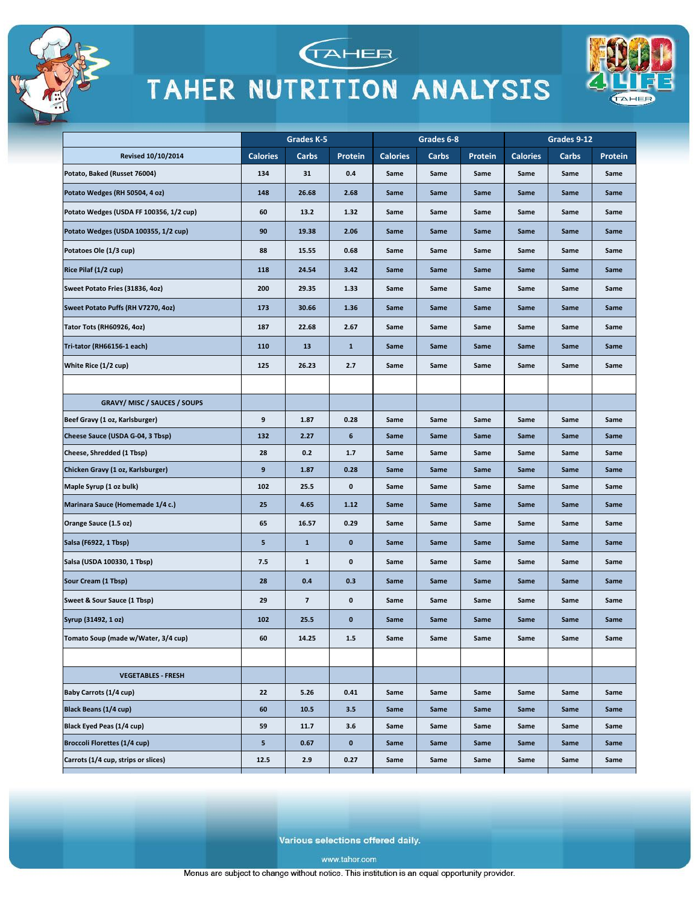

**Revised 10/10/2014** 

GRAVY/ MISC / SAUCES / SOUPS

Potato, Baked (Russet 76004)

Potatoes Ole (1/3 cup)

Rice Pilaf (1/2 cup)

Potato Wedges (RH 50504, 4 oz)

Sweet Potato Fries (31836, 4oz)

Tator Tots (RH60926, 4oz)

Tri-tator (RH66156-1 each)

Beef Gravy (1 oz, Karlsburger)

Cheese, Shredded (1 Tbsp)

Maple Syrup (1 oz bulk)

Orange Sauce (1.5 oz)

Salsa (F6922, 1 Tbsp)

Sour Cream (1 Tbsp)

Syrup (31492, 1 oz)

Baby Carrots (1/4 cup)

**Black Beans (1/4 cup)** 

Black Eyed Peas (1/4 cup)

**Broccoli Florettes (1/4 cup)** 

Carrots (1/4 cup, strips or slices)

Salsa (USDA 100330, 1 Tbsp)

Sweet & Sour Sauce (1 Tbsp)

Tomato Soup (made w/Water, 3/4 cup)

**VEGETABLES - FRESH** 

 $22$ 

60

59

 $\overline{\mathbf{5}}$ 

12.5

 $5.26$ 

10.5

 $11.7$ 

 $0.67$ 

 $2.9$ 

Cheese Sauce (USDA G-04, 3 Tbsp)

Chicken Gravy (1 oz, Karlsburger)

Marinara Sauce (Homemade 1/4 c.)

White Rice (1/2 cup)

Sweet Potato Puffs (RH V7270, 4oz)

Potato Wedges (USDA FF 100356, 1/2 cup)

Potato Wedges (USDA 100355, 1/2 cup)



### TAHER NUTRITION ANALYSIS



Various selections offered daily.

 $0.41$ 

 $3.5$ 

 $3.6$ 

 $\pmb{\mathsf{o}}$ 

 $0.27$ 

Same

Same

Same

Same

Same

Same

Same

Same

Same

Same

Same

Same

Same

Same

Same

Same

Same

Same

Same

Same

Same

Same

Same

Same

Same

Same

Same

Same

Same

Same

www.taher.com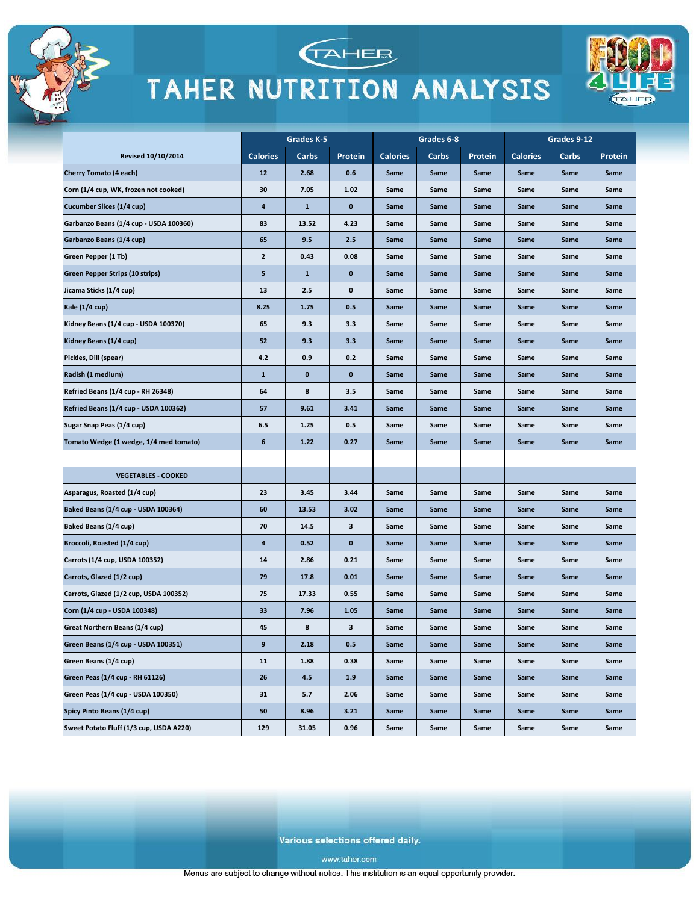





|                                           | Grades K-5      |              | Grades 6-8   |                 |       | Grades 9-12 |                 |       |         |
|-------------------------------------------|-----------------|--------------|--------------|-----------------|-------|-------------|-----------------|-------|---------|
| <b>Revised 10/10/2014</b>                 | <b>Calories</b> | Carbs        | Protein      | <b>Calories</b> | Carbs | Protein     | <b>Calories</b> | Carbs | Protein |
| <b>Cherry Tomato (4 each)</b>             | 12              | 2.68         | 0.6          | Same            | Same  | Same        | Same            | Same  | Same    |
| Corn (1/4 cup, WK, frozen not cooked)     | 30              | 7.05         | 1.02         | Same            | Same  | Same        | Same            | Same  | Same    |
| Cucumber Slices (1/4 cup)                 | 4               | $\mathbf{1}$ | $\mathbf{0}$ | Same            | Same  | Same        | Same            | Same  | Same    |
| Garbanzo Beans (1/4 cup - USDA 100360)    | 83              | 13.52        | 4.23         | Same            | Same  | Same        | Same            | Same  | Same    |
| Garbanzo Beans (1/4 cup)                  | 65              | 9.5          | 2.5          | Same            | Same  | Same        | Same            | Same  | Same    |
| Green Pepper (1 Tb)                       | $\mathbf{2}$    | 0.43         | 0.08         | Same            | Same  | Same        | Same            | Same  | Same    |
| Green Pepper Strips (10 strips)           | 5               | $\mathbf{1}$ | 0            | Same            | Same  | Same        | Same            | Same  | Same    |
| Jicama Sticks (1/4 cup)                   | 13              | 2.5          | 0            | Same            | Same  | Same        | Same            | Same  | Same    |
| Kale (1/4 cup)                            | 8.25            | 1.75         | 0.5          | Same            | Same  | Same        | Same            | Same  | Same    |
| Kidney Beans (1/4 cup - USDA 100370)      | 65              | 9.3          | 3.3          | Same            | Same  | Same        | Same            | Same  | Same    |
| Kidney Beans (1/4 cup)                    | 52              | 9.3          | 3.3          | Same            | Same  | Same        | Same            | Same  | Same    |
| Pickles, Dill (spear)                     | 4.2             | 0.9          | 0.2          | Same            | Same  | Same        | Same            | Same  | Same    |
| Radish (1 medium)                         | $\mathbf{1}$    | $\mathbf 0$  | 0            | Same            | Same  | Same        | Same            | Same  | Same    |
| <b>Refried Beans (1/4 cup - RH 26348)</b> | 64              | 8            | 3.5          | Same            | Same  | Same        | Same            | Same  | Same    |
| Refried Beans (1/4 cup - USDA 100362)     | 57              | 9.61         | 3.41         | Same            | Same  | Same        | Same            | Same  | Same    |
| Sugar Snap Peas (1/4 cup)                 | 6.5             | 1.25         | 0.5          | Same            | Same  | Same        | Same            | Same  | Same    |
| Tomato Wedge (1 wedge, 1/4 med tomato)    | 6               | 1.22         | 0.27         | Same            | Same  | Same        | Same            | Same  | Same    |
|                                           |                 |              |              |                 |       |             |                 |       |         |
| <b>VEGETABLES - COOKED</b>                |                 |              |              |                 |       |             |                 |       |         |
| Asparagus, Roasted (1/4 cup)              | 23              | 3.45         | 3.44         | Same            | Same  | Same        | Same            | Same  | Same    |
| Baked Beans (1/4 cup - USDA 100364)       | 60              | 13.53        | 3.02         | Same            | Same  | Same        | Same            | Same  | Same    |
| Baked Beans (1/4 cup)                     | 70              | 14.5         | 3            | Same            | Same  | Same        | Same            | Same  | Same    |
| Broccoli, Roasted (1/4 cup)               | 4               | 0.52         | 0            | Same            | Same  | Same        | Same            | Same  | Same    |
| Carrots (1/4 cup, USDA 100352)            | 14              | 2.86         | 0.21         | Same            | Same  | Same        | Same            | Same  | Same    |
| Carrots, Glazed (1/2 cup)                 | 79              | 17.8         | 0.01         | Same            | Same  | Same        | Same            | Same  | Same    |
| Carrots, Glazed (1/2 cup, USDA 100352)    | 75              | 17.33        | 0.55         | Same            | Same  | Same        | Same            | Same  | Same    |
| Corn (1/4 cup - USDA 100348)              | 33              | 7.96         | 1.05         | Same            | Same  | Same        | Same            | Same  | Same    |
| Great Northern Beans (1/4 cup)            | 45              | 8            | з            | Same            | Same  | Same        | Same            | Same  | Same    |
| Green Beans (1/4 cup - USDA 100351)       | 9               | 2.18         | 0.5          | same            | same  | same        | same            | same  | same    |
| Green Beans (1/4 cup)                     | 11              | 1.88         | 0.38         | Same            | Same  | Same        | Same            | Same  | Same    |
| Green Peas (1/4 cup - RH 61126)           | 26              | 4.5          | 1.9          | Same            | Same  | Same        | Same            | Same  | Same    |
| Green Peas (1/4 cup - USDA 100350)        | 31              | 5.7          | 2.06         | Same            | Same  | Same        | Same            | Same  | Same    |
| Spicy Pinto Beans (1/4 cup)               | 50              | 8.96         | 3.21         | Same            | Same  | Same        | Same            | Same  | Same    |
| Sweet Potato Fluff (1/3 cup, USDA A220)   | 129             | 31.05        | 0.96         | Same            | Same  | Same        | Same            | Same  | Same    |

Various selections offered daily.

www.taher.com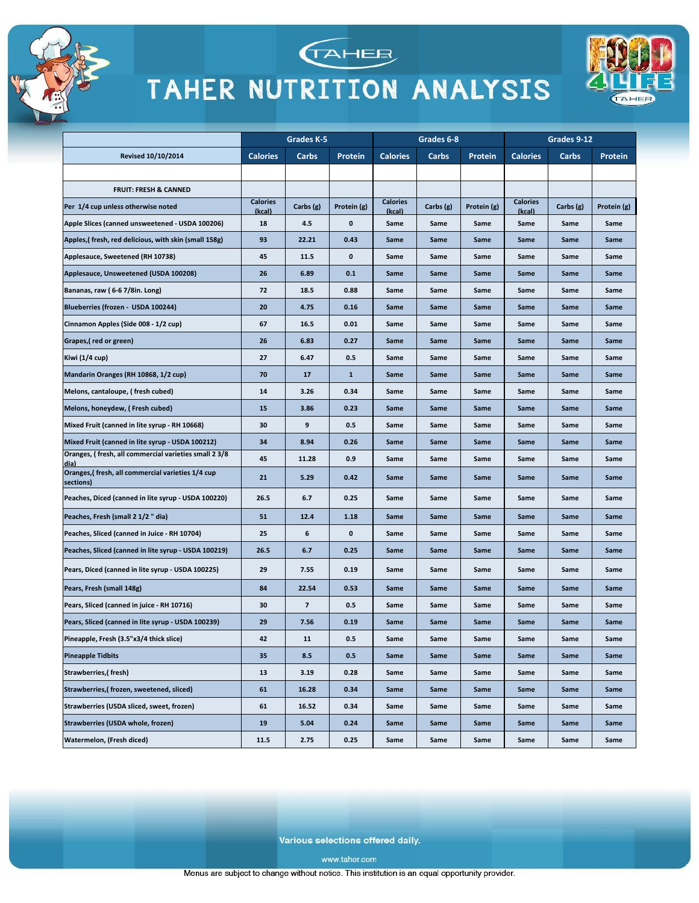





|                                                               |                           | Grades K-5 |             | Grades 6-8                |             |             | Grades 9-12               |           |             |
|---------------------------------------------------------------|---------------------------|------------|-------------|---------------------------|-------------|-------------|---------------------------|-----------|-------------|
| <b>Revised 10/10/2014</b>                                     | <b>Calories</b>           | Carbs      | Protein     | <b>Calories</b>           | Carbs       | Protein     | <b>Calories</b>           | Carbs     | Protein     |
|                                                               |                           |            |             |                           |             |             |                           |           |             |
| <b>FRUIT: FRESH &amp; CANNED</b>                              |                           |            |             |                           |             |             |                           |           |             |
| Per 1/4 cup unless otherwise noted                            | <b>Calories</b><br>(kcal) | Carbs (g)  | Protein (g) | <b>Calories</b><br>(kcal) | Carbs $(g)$ | Protein (g) | <b>Calories</b><br>(kcal) | Carbs (g) | Protein (g) |
| Apple Slices (canned unsweetened - USDA 100206)               | 18                        | 4.5        | 0           | Same                      | Same        | Same        | Same                      | Same      | Same        |
| Apples,(fresh, red delicious, with skin (small 158g)          | 93                        | 22.21      | 0.43        | Same                      | Same        | Same        | Same                      | Same      | Same        |
| Applesauce, Sweetened (RH 10738)                              | 45                        | 11.5       | 0           | Same                      | Same        | Same        | Same                      | Same      | Same        |
| Applesauce, Unsweetened (USDA 100208)                         | 26                        | 6.89       | 0.1         | Same                      | Same        | Same        | Same                      | Same      | Same        |
| Bananas, raw (6-67/8in. Long)                                 | 72                        | 18.5       | 0.88        | Same                      | Same        | Same        | Same                      | Same      | Same        |
| Blueberries (frozen - USDA 100244)                            | 20                        | 4.75       | 0.16        | Same                      | Same        | Same        | Same                      | Same      | Same        |
| Cinnamon Apples (Side 008 - 1/2 cup)                          | 67                        | 16.5       | 0.01        | Same                      | Same        | Same        | Same                      | Same      | Same        |
| Grapes,(red or green)                                         | 26                        | 6.83       | 0.27        | Same                      | Same        | Same        | Same                      | Same      | Same        |
| Kiwi (1/4 cup)                                                | 27                        | 6.47       | 0.5         | Same                      | Same        | Same        | Same                      | Same      | Same        |
| Mandarin Oranges (RH 10868, 1/2 cup)                          | 70                        | 17         | 1           | Same                      | Same        | Same        | Same                      | Same      | Same        |
| Melons, cantaloupe, (fresh cubed)                             | 14                        | 3.26       | 0.34        | Same                      | Same        | Same        | Same                      | Same      | Same        |
| Melons, honeydew, (Fresh cubed)                               | 15                        | 3.86       | 0.23        | Same                      | Same        | Same        | Same                      | Same      | Same        |
| Mixed Fruit (canned in lite syrup - RH 10668)                 | 30                        | 9          | 0.5         | Same                      | Same        | Same        | Same                      | Same      | Same        |
| Mixed Fruit (canned in lite syrup - USDA 100212)              | 34                        | 8.94       | 0.26        | Same                      | Same        | Same        | Same                      | Same      | Same        |
| Oranges, (fresh, all commercial varieties small 2 3/8<br>dia) | 45                        | 11.28      | 0.9         | Same                      | Same        | Same        | Same                      | Same      | Same        |
| Oranges,(fresh, all commercial varieties 1/4 cup<br>sections) | 21                        | 5.29       | 0.42        | Same                      | Same        | Same        | Same                      | Same      | Same        |
| Peaches, Diced (canned in lite syrup - USDA 100220)           | 26.5                      | 6.7        | 0.25        | Same                      | Same        | Same        | Same                      | Same      | Same        |
| Peaches, Fresh (small 2 1/2 " dia)                            | 51                        | 12.4       | 1.18        | Same                      | Same        | Same        | Same                      | Same      | Same        |
| Peaches, Sliced (canned in Juice - RH 10704)                  | 25                        | 6          | 0           | Same                      | Same        | Same        | Same                      | Same      | Same        |
| Peaches, Sliced (canned in lite syrup - USDA 100219)          | 26.5                      | 6.7        | 0.25        | Same                      | Same        | Same        | Same                      | Same      | Same        |
| Pears, Diced (canned in lite syrup - USDA 100225)             | 29                        | 7.55       | 0.19        | Same                      | Same        | Same        | Same                      | Same      | Same        |
| Pears, Fresh (small 148g)                                     | 84                        | 22.54      | 0.53        | Same                      | Same        | Same        | Same                      | Same      | Same        |
| Pears, Sliced (canned in juice - RH 10716)                    | 30                        | 7          | 0.5         | Same                      | Same        | Same        | Same                      | Same      | Same        |
| Pears, Sliced (canned in lite syrup - USDA 100239)            | 29                        | 7.56       | 0.19        | Same                      | Same        | Same        | Same                      | Same      | Same        |
| Pineapple, Fresh (3.5"x3/4 thick slice)                       | 42                        | 11         | 0.5         | Same                      | Same        | Same        | Same                      | Same      | Same        |
| <b>Pineapple Tidbits</b>                                      | 35                        | 8.5        | 0.5         | Same                      | Same        | Same        | Same                      | Same      | Same        |
| <b>Strawberries, (fresh)</b>                                  | 13                        | 3.19       | 0.28        | Same                      | Same        | Same        | Same                      | Same      | Same        |
| Strawberries,(frozen, sweetened, sliced)                      | 61                        | 16.28      | 0.34        | Same                      | Same        | Same        | Same                      | Same      | Same        |
| Strawberries (USDA sliced, sweet, frozen)                     | 61                        | 16.52      | 0.34        | Same                      | Same        | Same        | Same                      | Same      | Same        |
| Strawberries (USDA whole, frozen)                             | 19                        | 5.04       | 0.24        | Same                      | Same        | Same        | Same                      | Same      | Same        |
| Watermelon, (Fresh diced)                                     | 11.5                      | 2.75       | 0.25        | Same                      | Same        | Same        | Same                      | Same      | Same        |

Various selections offered daily.